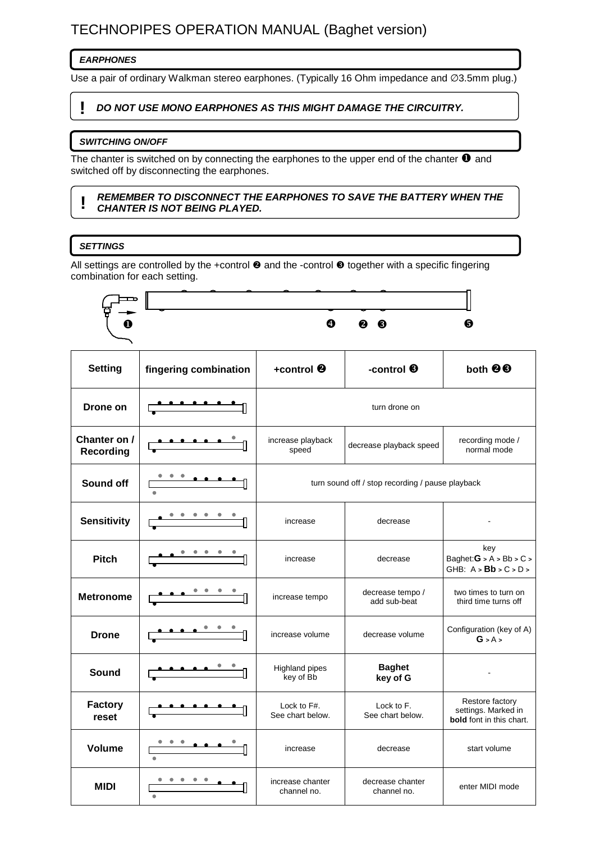# TECHNOPIPES OPERATION MANUAL (Baghet version)

# **EARPHONES**

Use a pair of ordinary Walkman stereo earphones. (Typically 16 Ohm impedance and ∅3.5mm plug.)

# **! DO NOT USE MONO EARPHONES AS THIS MIGHT DAMAGE THE CIRCUITRY.**

#### **SWITCHING ON/OFF**

The chanter is switched on by connecting the earphones to the upper end of the chanter  $\bullet$  and switched off by disconnecting the earphones.

#### **! REMEMBER TO DISCONNECT THE EARPHONES TO SAVE THE BATTERY WHEN THE CHANTER IS NOT BEING PLAYED.**

# **SETTINGS**

All settings are controlled by the +control  $\Theta$  and the -control  $\Theta$  together with a specific fingering combination for each setting.

|                                  |                                               | $\bf{O}$                                         | <b>0 0</b>                       | 6                                                                  |  |  |
|----------------------------------|-----------------------------------------------|--------------------------------------------------|----------------------------------|--------------------------------------------------------------------|--|--|
| <b>Setting</b>                   | fingering combination                         | +control <sup>®</sup>                            | -control <sup>®</sup>            | both <sup>88</sup>                                                 |  |  |
| Drone on                         |                                               | turn drone on                                    |                                  |                                                                    |  |  |
| Chanter on /<br><b>Recording</b> |                                               | increase playback<br>speed                       | decrease playback speed          | recording mode /<br>normal mode                                    |  |  |
| Sound off                        |                                               | turn sound off / stop recording / pause playback |                                  |                                                                    |  |  |
| <b>Sensitivity</b>               |                                               | increase                                         | decrease                         |                                                                    |  |  |
| <b>Pitch</b>                     |                                               | increase                                         | decrease                         | key<br>Baghet: $G > A > Bb > C >$<br>GHB: $A > Bb > C > D >$       |  |  |
| <b>Metronome</b>                 | $\overline{\phantom{a}}$                      | increase tempo                                   | decrease tempo /<br>add sub-beat | two times to turn on<br>third time turns off                       |  |  |
| <b>Drone</b>                     |                                               | increase volume                                  | decrease volume                  | Configuration (key of A)<br>G > A >                                |  |  |
| <b>Sound</b>                     | $\bullet\quad\bullet\quad\bullet\quad\bullet$ | <b>Highland pipes</b><br>key of Bb               | <b>Baghet</b><br>key of G        |                                                                    |  |  |
| <b>Factory</b><br>reset          |                                               | Lock to F#.<br>See chart below.                  | Lock to F.<br>See chart below.   | Restore factory<br>settings. Marked in<br>bold font in this chart. |  |  |
| <b>Volume</b>                    |                                               | increase                                         | decrease                         | start volume                                                       |  |  |
| <b>MIDI</b>                      |                                               | increase chanter<br>channel no.                  | decrease chanter<br>channel no.  | enter MIDI mode                                                    |  |  |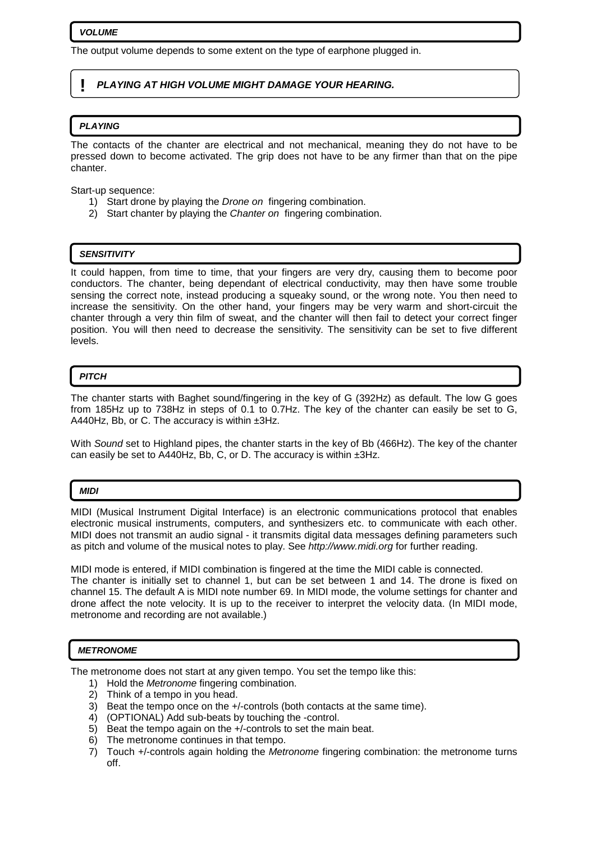#### **VOLUME**

The output volume depends to some extent on the type of earphone plugged in.

# **! PLAYING AT HIGH VOLUME MIGHT DAMAGE YOUR HEARING.**

#### **PLAYING**

The contacts of the chanter are electrical and not mechanical, meaning they do not have to be pressed down to become activated. The grip does not have to be any firmer than that on the pipe chanter.

Start-up sequence:

- 1) Start drone by playing the *Drone on* fingering combination.
- 2) Start chanter by playing the Chanter on fingering combination.

### **SENSITIVITY**

It could happen, from time to time, that your fingers are very dry, causing them to become poor conductors. The chanter, being dependant of electrical conductivity, may then have some trouble sensing the correct note, instead producing a squeaky sound, or the wrong note. You then need to increase the sensitivity. On the other hand, your fingers may be very warm and short-circuit the chanter through a very thin film of sweat, and the chanter will then fail to detect your correct finger position. You will then need to decrease the sensitivity. The sensitivity can be set to five different levels.

#### **PITCH**

The chanter starts with Baghet sound/fingering in the key of G (392Hz) as default. The low G goes from 185Hz up to 738Hz in steps of 0.1 to 0.7Hz. The key of the chanter can easily be set to G, A440Hz, Bb, or C. The accuracy is within ±3Hz.

With Sound set to Highland pipes, the chanter starts in the key of Bb (466Hz). The key of the chanter can easily be set to A440Hz, Bb, C, or D. The accuracy is within ±3Hz.

#### **MIDI**

MIDI (Musical Instrument Digital Interface) is an electronic communications protocol that enables electronic musical instruments, computers, and synthesizers etc. to communicate with each other. MIDI does not transmit an audio signal - it transmits digital data messages defining parameters such as pitch and volume of the musical notes to play. See http://www.midi.org for further reading.

MIDI mode is entered, if MIDI combination is fingered at the time the MIDI cable is connected. The chanter is initially set to channel 1, but can be set between 1 and 14. The drone is fixed on channel 15. The default A is MIDI note number 69. In MIDI mode, the volume settings for chanter and drone affect the note velocity. It is up to the receiver to interpret the velocity data. (In MIDI mode, metronome and recording are not available.)

#### **METRONOME**

The metronome does not start at any given tempo. You set the tempo like this:

- 1) Hold the Metronome fingering combination.
- 2) Think of a tempo in you head.
- 3) Beat the tempo once on the +/-controls (both contacts at the same time).
- 4) (OPTIONAL) Add sub-beats by touching the -control.
- 5) Beat the tempo again on the +/-controls to set the main beat.
- 6) The metronome continues in that tempo.
- 7) Touch +/-controls again holding the Metronome fingering combination: the metronome turns off.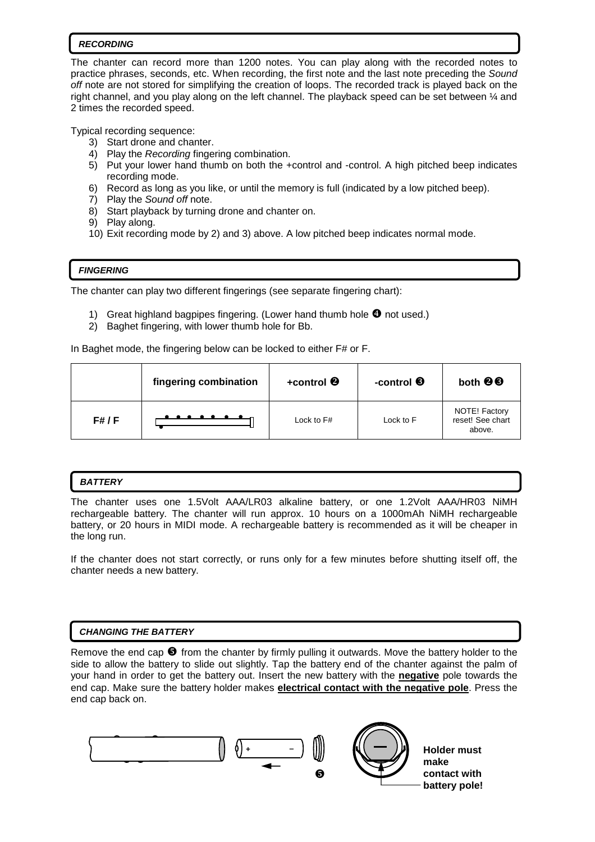# **RECORDING**

The chanter can record more than 1200 notes. You can play along with the recorded notes to practice phrases, seconds, etc. When recording, the first note and the last note preceding the Sound off note are not stored for simplifying the creation of loops. The recorded track is played back on the right channel, and you play along on the left channel. The playback speed can be set between ¼ and 2 times the recorded speed.

Typical recording sequence:

- 3) Start drone and chanter.
- 4) Play the Recording fingering combination.
- 5) Put your lower hand thumb on both the +control and -control. A high pitched beep indicates recording mode.
- 6) Record as long as you like, or until the memory is full (indicated by a low pitched beep).
- 7) Play the Sound off note.
- 8) Start playback by turning drone and chanter on.
- 9) Play along.
- 10) Exit recording mode by 2) and 3) above. A low pitched beep indicates normal mode.

# **FINGERING**

The chanter can play two different fingerings (see separate fingering chart):

- 1) Great highland bagpipes fingering. (Lower hand thumb hole  $\bigcirc$  not used.)
- 2) Baghet fingering, with lower thumb hole for Bb.

In Baghet mode, the fingering below can be locked to either F# or F.

|        | fingering combination | +control <sup>@</sup> | -control ❸ | both <b>@</b> <sup>6</sup>                  |
|--------|-----------------------|-----------------------|------------|---------------------------------------------|
| F# / F |                       | Lock to F#            | Lock to F  | NOTE! Factory<br>reset! See chart<br>above. |

### **BATTERY**

 $\overline{a}$ 

The chanter uses one 1.5Volt AAA/LR03 alkaline battery, or one 1.2Volt AAA/HR03 NiMH rechargeable battery. The chanter will run approx. 10 hours on a 1000mAh NiMH rechargeable battery, or 20 hours in MIDI mode. A rechargeable battery is recommended as it will be cheaper in the long run.

If the chanter does not start correctly, or runs only for a few minutes before shutting itself off, the chanter needs a new battery.

# **CHANGING THE BATTERY**

Remove the end cap  $\Theta$  from the chanter by firmly pulling it outwards. Move the battery holder to the side to allow the battery to slide out slightly. Tap the battery end of the chanter against the palm of your hand in order to get the battery out. Insert the new battery with the **negative** pole towards the end cap. Make sure the battery holder makes **electrical contact with the negative pole**. Press the end cap back on.